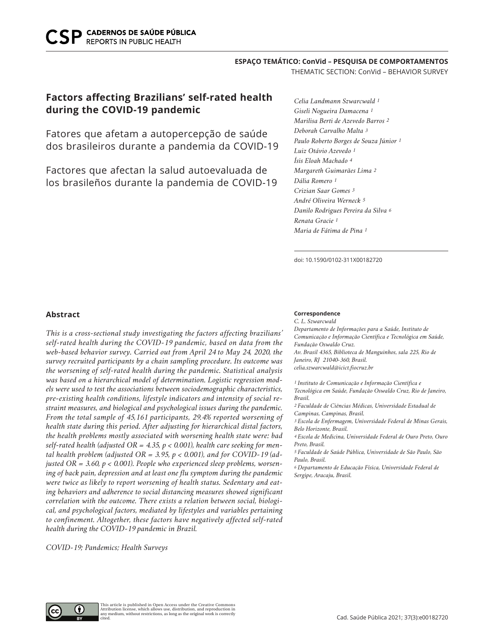## **ESPAÇO TEMÁTICO: ConVid – PESQUISA DE COMPORTAMENTOS**

THEMATIC SECTION: ConVid – BEHAVIOR SURVEY

# **Factors affecting Brazilians' self-rated health during the COVID-19 pandemic**

Fatores que afetam a autopercepção de saúde dos brasileiros durante a pandemia da COVID-19

Factores que afectan la salud autoevaluada de los brasileños durante la pandemia de COVID-19

*Celia Landmann Szwarcwald 1 Giseli Nogueira Damacena 1 Marilisa Berti de Azevedo Barros 2 Deborah Carvalho Malta 3 Paulo Roberto Borges de Souza Júnior 1 Luiz Otávio Azevedo 1 Ísis Eloah Machado 4 Margareth Guimarães Lima 2 Dália Romero 1 Crizian Saar Gomes 3 André Oliveira Werneck 5 Danilo Rodrigues Pereira da Silva 6 Renata Gracie 1 Maria de Fátima de Pina 1*

doi: 10.1590/0102-311X00182720

## **Abstract**

*This is a cross-sectional study investigating the factors affecting brazilians' self-rated health during the COVID-19 pandemic, based on data from the web-based behavior survey. Carried out from April 24 to May 24, 2020, the survey recruited participants by a chain sampling procedure. Its outcome was the worsening of self-rated health during the pandemic. Statistical analysis was based on a hierarchical model of determination. Logistic regression models were used to test the associations between sociodemographic characteristics, pre-existing health conditions, lifestyle indicators and intensity of social restraint measures, and biological and psychological issues during the pandemic. From the total sample of 45,161 participants, 29.4% reported worsening of health state during this period. After adjusting for hierarchical distal factors, the health problems mostly associated with worsening health state were: bad self-rated health (adjusted OR = 4.35, p < 0.001), health care seeking for mental health problem (adjusted OR = 3.95, p < 0.001), and for COVID-19 (adjusted OR = 3.60, p < 0.001). People who experienced sleep problems, worsening of back pain, depression and at least one flu symptom during the pandemic were twice as likely to report worsening of health status. Sedentary and eating behaviors and adherence to social distancing measures showed significant correlation with the outcome. There exists a relation between social, biological, and psychological factors, mediated by lifestyles and variables pertaining to confinement. Altogether, these factors have negatively affected self-rated health during the COVID-19 pandemic in Brazil.* 

*COVID-19; Pandemics; Health Surveys*

#### **Correspondence**

*C. L. Szwarcwald Departamento de Informações para a Saúde, Instituto de Comunicação e Informação Científica e Tecnológica em Saúde, Fundação Oswaldo Cruz. Av. Brasil 4365, Biblioteca de Manguinhos, sala 225, Rio de Janeiro, RJ 21040-360, Brasil. celia.szwarcwald@icict.fiocruz.br*

*1 Instituto de Comunicação e Informação Científica e Tecnológica em Saúde, Fundação Oswaldo Cruz, Rio de Janeiro, Brasil.*

*2 Faculdade de Ciências Médicas, Universidade Estadual de Campinas, Campinas, Brasil.*

*3 Escola de Enfermagem, Universidade Federal de Minas Gerais, Belo Horizonte, Brasil.*

*4 Escola de Medicina, Universidade Federal de Ouro Preto, Ouro Preto, Brasil.*

*5 Faculdade de Saúde Pública, Universidade de São Paulo, São Paulo, Brasil.*

*6 Departamento de Educação Física, Universidade Federal de Sergipe, Aracaju, Brasil.*

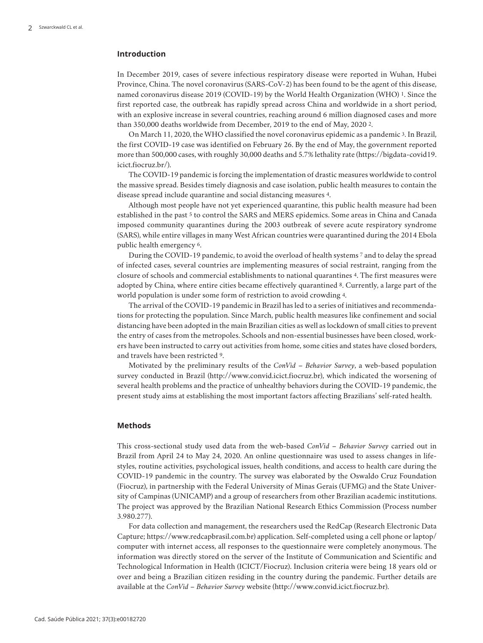# **Introduction**

In December 2019, cases of severe infectious respiratory disease were reported in Wuhan, Hubei Province, China. The novel coronavirus (SARS-CoV-2) has been found to be the agent of this disease, named coronavirus disease 2019 (COVID-19) by the World Health Organization (WHO) 1. Since the first reported case, the outbreak has rapidly spread across China and worldwide in a short period, with an explosive increase in several countries, reaching around 6 million diagnosed cases and more than 350,000 deaths worldwide from December, 2019 to the end of May, 2020 2.

On March 11, 2020, the WHO classified the novel coronavirus epidemic as a pandemic 3. In Brazil, the first COVID-19 case was identified on February 26. By the end of May, the government reported more than 500,000 cases, with roughly 30,000 deaths and 5.7% lethality rate (https://bigdata-covid19. icict.fiocruz.br/).

The COVID-19 pandemic is forcing the implementation of drastic measures worldwide to control the massive spread. Besides timely diagnosis and case isolation, public health measures to contain the disease spread include quarantine and social distancing measures 4.

Although most people have not yet experienced quarantine, this public health measure had been established in the past 5 to control the SARS and MERS epidemics. Some areas in China and Canada imposed community quarantines during the 2003 outbreak of severe acute respiratory syndrome (SARS), while entire villages in many West African countries were quarantined during the 2014 Ebola public health emergency 6.

During the COVID-19 pandemic, to avoid the overload of health systems 7 and to delay the spread of infected cases, several countries are implementing measures of social restraint, ranging from the closure of schools and commercial establishments to national quarantines 4. The first measures were adopted by China, where entire cities became effectively quarantined 8. Currently, a large part of the world population is under some form of restriction to avoid crowding 4.

The arrival of the COVID-19 pandemic in Brazil has led to a series of initiatives and recommendations for protecting the population. Since March, public health measures like confinement and social distancing have been adopted in the main Brazilian cities as well as lockdown of small cities to prevent the entry of cases from the metropoles. Schools and non-essential businesses have been closed, workers have been instructed to carry out activities from home, some cities and states have closed borders, and travels have been restricted 9.

Motivated by the preliminary results of the *ConVid – Behavior Survey*, a web-based population survey conducted in Brazil (http://www.convid.icict.fiocruz.br), which indicated the worsening of several health problems and the practice of unhealthy behaviors during the COVID-19 pandemic, the present study aims at establishing the most important factors affecting Brazilians' self-rated health.

#### **Methods**

This cross-sectional study used data from the web-based *ConVid – Behavior Survey* carried out in Brazil from April 24 to May 24, 2020. An online questionnaire was used to assess changes in lifestyles, routine activities, psychological issues, health conditions, and access to health care during the COVID-19 pandemic in the country. The survey was elaborated by the Oswaldo Cruz Foundation (Fiocruz), in partnership with the Federal University of Minas Gerais (UFMG) and the State University of Campinas (UNICAMP) and a group of researchers from other Brazilian academic institutions. The project was approved by the Brazilian National Research Ethics Commission (Process number 3.980.277).

For data collection and management, the researchers used the RedCap (Research Electronic Data Capture; https://www.redcapbrasil.com.br) application. Self-completed using a cell phone or laptop/ computer with internet access, all responses to the questionnaire were completely anonymous. The information was directly stored on the server of the Institute of Communication and Scientific and Technological Information in Health (ICICT/Fiocruz). Inclusion criteria were being 18 years old or over and being a Brazilian citizen residing in the country during the pandemic. Further details are available at the *ConVid – Behavior Survey* website (http://www.convid.icict.fiocruz.br).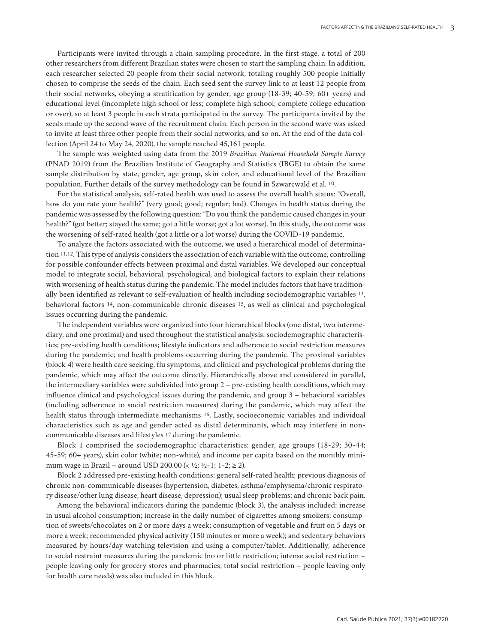Participants were invited through a chain sampling procedure. In the first stage, a total of 200 other researchers from different Brazilian states were chosen to start the sampling chain. In addition, each researcher selected 20 people from their social network, totaling roughly 500 people initially chosen to comprise the seeds of the chain. Each seed sent the survey link to at least 12 people from their social networks, obeying a stratification by gender, age group (18-39; 40-59; 60+ years) and educational level (incomplete high school or less; complete high school; complete college education or over), so at least 3 people in each strata participated in the survey. The participants invited by the seeds made up the second wave of the recruitment chain. Each person in the second wave was asked to invite at least three other people from their social networks, and so on. At the end of the data collection (April 24 to May 24, 2020), the sample reached 45,161 people.

The sample was weighted using data from the 2019 *Brazilian National Household Sample Survey* (PNAD 2019) from the Brazilian Institute of Geography and Statistics (IBGE) to obtain the same sample distribution by state, gender, age group, skin color, and educational level of the Brazilian population. Further details of the survey methodology can be found in Szwarcwald et al. 10.

For the statistical analysis, self-rated health was used to assess the overall health status: "Overall, how do you rate your health?" (very good; good; regular; bad). Changes in health status during the pandemic was assessed by the following question: "Do you think the pandemic caused changes in your health?" (got better; stayed the same; got a little worse; got a lot worse). In this study, the outcome was the worsening of self-rated health (got a little or a lot worse) during the COVID-19 pandemic.

To analyze the factors associated with the outcome, we used a hierarchical model of determination 11,12. This type of analysis considers the association of each variable with the outcome, controlling for possible confounder effects between proximal and distal variables. We developed our conceptual model to integrate social, behavioral, psychological, and biological factors to explain their relations with worsening of health status during the pandemic. The model includes factors that have traditionally been identified as relevant to self-evaluation of health including sociodemographic variables 13, behavioral factors 14, non-communicable chronic diseases 15, as well as clinical and psychological issues occurring during the pandemic.

The independent variables were organized into four hierarchical blocks (one distal, two intermediary, and one proximal) and used throughout the statistical analysis: sociodemographic characteristics; pre-existing health conditions; lifestyle indicators and adherence to social restriction measures during the pandemic; and health problems occurring during the pandemic. The proximal variables (block 4) were health care seeking, flu symptoms, and clinical and psychological problems during the pandemic, which may affect the outcome directly. Hierarchically above and considered in parallel, the intermediary variables were subdivided into group 2 – pre-existing health conditions, which may influence clinical and psychological issues during the pandemic, and group 3 – behavioral variables (including adherence to social restriction measures) during the pandemic, which may affect the health status through intermediate mechanisms 16. Lastly, socioeconomic variables and individual characteristics such as age and gender acted as distal determinants, which may interfere in noncommunicable diseases and lifestyles 17 during the pandemic.

Block 1 comprised the sociodemographic characteristics: gender, age groups (18-29; 30-44; 45-59; 60+ years), skin color (white; non-white), and income per capita based on the monthly minimum wage in Brazil – around USD 200.00 (<  $\frac{1}{2}$ ;  $\frac{1}{2}$ -1; 1-2;  $\geq$  2).

Block 2 addressed pre-existing health conditions: general self-rated health; previous diagnosis of chronic non-communicable diseases (hypertension, diabetes, asthma/emphysema/chronic respiratory disease/other lung disease, heart disease, depression); usual sleep problems; and chronic back pain.

Among the behavioral indicators during the pandemic (block 3), the analysis included: increase in usual alcohol consumption; increase in the daily number of cigarettes among smokers; consumption of sweets/chocolates on 2 or more days a week; consumption of vegetable and fruit on 5 days or more a week; recommended physical activity (150 minutes or more a week); and sedentary behaviors measured by hours/day watching television and using a computer/tablet. Additionally, adherence to social restraint measures during the pandemic (no or little restriction; intense social restriction – people leaving only for grocery stores and pharmacies; total social restriction – people leaving only for health care needs) was also included in this block.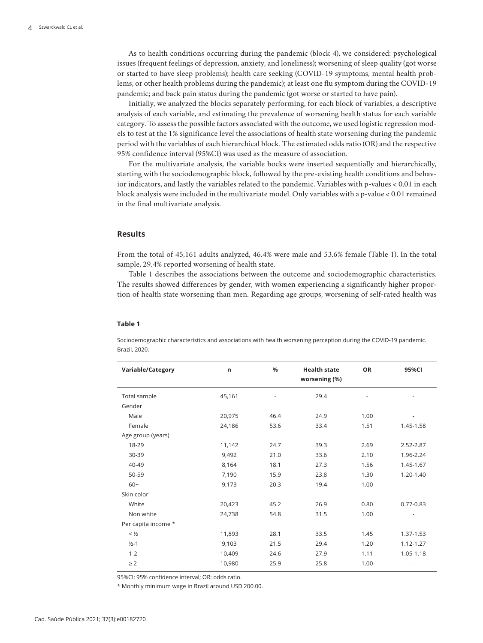As to health conditions occurring during the pandemic (block 4), we considered: psychological issues (frequent feelings of depression, anxiety, and loneliness); worsening of sleep quality (got worse or started to have sleep problems); health care seeking (COVID-19 symptoms, mental health problems, or other health problems during the pandemic); at least one flu symptom during the COVID-19 pandemic; and back pain status during the pandemic (got worse or started to have pain).

Initially, we analyzed the blocks separately performing, for each block of variables, a descriptive analysis of each variable, and estimating the prevalence of worsening health status for each variable category. To assess the possible factors associated with the outcome, we used logistic regression models to test at the 1% significance level the associations of health state worsening during the pandemic period with the variables of each hierarchical block. The estimated odds ratio (OR) and the respective 95% confidence interval (95%CI) was used as the measure of association.

For the multivariate analysis, the variable bocks were inserted sequentially and hierarchically, starting with the sociodemographic block, followed by the pre-existing health conditions and behavior indicators, and lastly the variables related to the pandemic. Variables with p-values < 0.01 in each block analysis were included in the multivariate model. Only variables with a p-value < 0.01 remained in the final multivariate analysis.

## **Results**

From the total of 45,161 adults analyzed, 46.4% were male and 53.6% female (Table 1). In the total sample, 29.4% reported worsening of health state.

Table 1 describes the associations between the outcome and sociodemographic characteristics. The results showed differences by gender, with women experiencing a significantly higher proportion of health state worsening than men. Regarding age groups, worsening of self-rated health was

#### **Table 1**

Sociodemographic characteristics and associations with health worsening perception during the COVID-19 pandemic. Brazil, 2020.

| Variable/Category   | n      | %    | <b>Health state</b><br>worsening (%) | <b>OR</b> | 95%CI         |
|---------------------|--------|------|--------------------------------------|-----------|---------------|
| Total sample        | 45,161 |      | 29.4                                 |           |               |
| Gender              |        |      |                                      |           |               |
| Male                | 20,975 | 46.4 | 24.9                                 | 1.00      | ۰             |
| Female              | 24,186 | 53.6 | 33.4                                 | 1.51      | 1.45-1.58     |
| Age group (years)   |        |      |                                      |           |               |
| 18-29               | 11,142 | 24.7 | 39.3                                 | 2.69      | 2.52-2.87     |
| 30-39               | 9,492  | 21.0 | 33.6                                 | 2.10      | 1.96-2.24     |
| 40-49               | 8,164  | 18.1 | 27.3                                 | 1.56      | 1.45-1.67     |
| 50-59               | 7,190  | 15.9 | 23.8                                 | 1.30      | 1.20-1.40     |
| $60+$               | 9,173  | 20.3 | 19.4                                 | 1.00      |               |
| Skin color          |        |      |                                      |           |               |
| White               | 20,423 | 45.2 | 26.9                                 | 0.80      | $0.77 - 0.83$ |
| Non white           | 24,738 | 54.8 | 31.5                                 | 1.00      |               |
| Per capita income * |        |      |                                      |           |               |
| $<$ $\frac{1}{2}$   | 11,893 | 28.1 | 33.5                                 | 1.45      | 1.37-1.53     |
| $1/2 - 1$           | 9,103  | 21.5 | 29.4                                 | 1.20      | 1.12-1.27     |
| $1 - 2$             | 10,409 | 24.6 | 27.9                                 | 1.11      | 1.05-1.18     |
| $\geq$ 2            | 10,980 | 25.9 | 25.8                                 | 1.00      |               |
|                     |        |      |                                      |           |               |

95%CI: 95% confidence interval; OR: odds ratio.

\* Monthly minimum wage in Brazil around USD 200.00.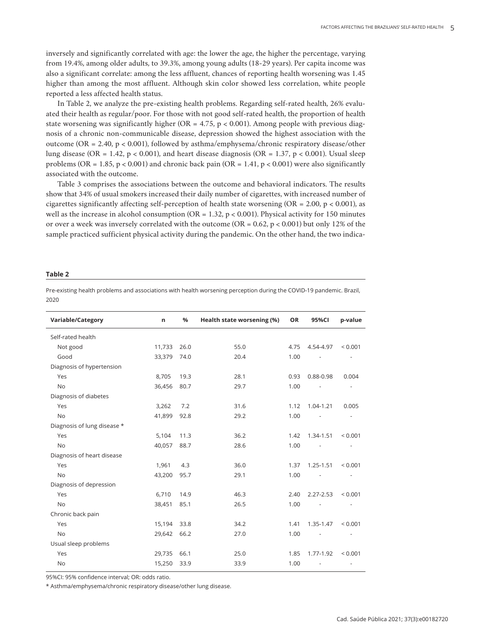inversely and significantly correlated with age: the lower the age, the higher the percentage, varying from 19.4%, among older adults, to 39.3%, among young adults (18-29 years). Per capita income was also a significant correlate: among the less affluent, chances of reporting health worsening was 1.45 higher than among the most affluent. Although skin color showed less correlation, white people reported a less affected health status.

In Table 2, we analyze the pre-existing health problems. Regarding self-rated health, 26% evaluated their health as regular/poor. For those with not good self-rated health, the proportion of health state worsening was significantly higher (OR = 4.75,  $p < 0.001$ ). Among people with previous diagnosis of a chronic non-communicable disease, depression showed the highest association with the outcome (OR = 2.40, p < 0.001), followed by asthma/emphysema/chronic respiratory disease/other lung disease (OR = 1.42, p < 0.001), and heart disease diagnosis (OR = 1.37, p < 0.001). Usual sleep problems (OR = 1.85, p < 0.001) and chronic back pain (OR = 1.41, p < 0.001) were also significantly associated with the outcome.

Table 3 comprises the associations between the outcome and behavioral indicators. The results show that 34% of usual smokers increased their daily number of cigarettes, with increased number of cigarettes significantly affecting self-perception of health state worsening (OR = 2.00, p < 0.001), as well as the increase in alcohol consumption (OR = 1.32,  $p < 0.001$ ). Physical activity for 150 minutes or over a week was inversely correlated with the outcome (OR =  $0.62$ , p <  $0.001$ ) but only 12% of the sample practiced sufficient physical activity during the pandemic. On the other hand, the two indica-

#### **Table 2**

Pre-existing health problems and associations with health worsening perception during the COVID-19 pandemic. Brazil, 2020

| Variable/Category           | n      | %    | Health state worsening (%) | <b>OR</b> | 95%CI         | p-value      |
|-----------------------------|--------|------|----------------------------|-----------|---------------|--------------|
| Self-rated health           |        |      |                            |           |               |              |
| Not good                    | 11,733 | 26.0 | 55.0                       | 4.75      | 4.54-4.97     | ${}< 0.001$  |
| Good                        | 33,379 | 74.0 | 20.4                       | 1.00      |               |              |
| Diagnosis of hypertension   |        |      |                            |           |               |              |
| Yes                         | 8,705  | 19.3 | 28.1                       | 0.93      | 0.88-0.98     | 0.004        |
| <b>No</b>                   | 36,456 | 80.7 | 29.7                       | 1.00      |               |              |
| Diagnosis of diabetes       |        |      |                            |           |               |              |
| Yes                         | 3,262  | 7.2  | 31.6                       | 1.12      | 1.04-1.21     | 0.005        |
| <b>No</b>                   | 41,899 | 92.8 | 29.2                       | 1.00      |               |              |
| Diagnosis of lung disease * |        |      |                            |           |               |              |
| Yes                         | 5,104  | 11.3 | 36.2                       | 1.42      | 1.34-1.51     | ${}_{0.001}$ |
| <b>No</b>                   | 40,057 | 88.7 | 28.6                       | 1.00      |               |              |
| Diagnosis of heart disease  |        |      |                            |           |               |              |
| Yes                         | 1,961  | 4.3  | 36.0                       | 1.37      | $1.25 - 1.51$ | ${}< 0.001$  |
| <b>No</b>                   | 43,200 | 95.7 | 29.1                       | 1.00      |               |              |
| Diagnosis of depression     |        |      |                            |           |               |              |
| Yes                         | 6,710  | 14.9 | 46.3                       | 2.40      | $2.27 - 2.53$ | ${}_{0.001}$ |
| <b>No</b>                   | 38,451 | 85.1 | 26.5                       | 1.00      |               |              |
| Chronic back pain           |        |      |                            |           |               |              |
| Yes                         | 15,194 | 33.8 | 34.2                       | 1.41      | 1.35-1.47     | ${}_{0.001}$ |
| <b>No</b>                   | 29,642 | 66.2 | 27.0                       | 1.00      |               |              |
| Usual sleep problems        |        |      |                            |           |               |              |
| Yes                         | 29,735 | 66.1 | 25.0                       | 1.85      | 1.77-1.92     | ${}_{0.001}$ |
| <b>No</b>                   | 15,250 | 33.9 | 33.9                       | 1.00      |               |              |

95%CI: 95% confidence interval; OR: odds ratio.

\* Asthma/emphysema/chronic respiratory disease/other lung disease.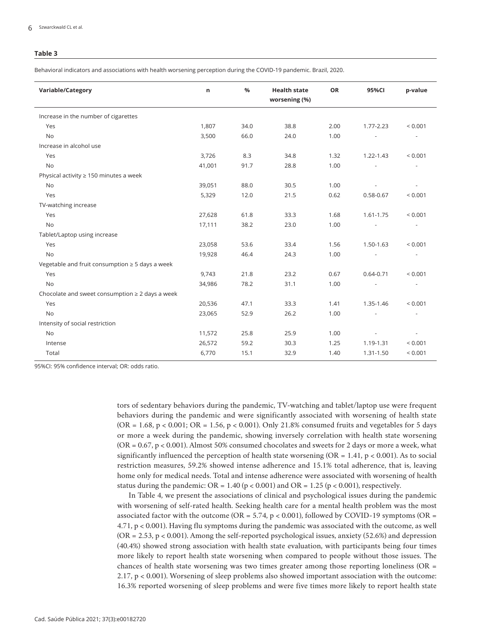#### **Table 3**

Behavioral indicators and associations with health worsening perception during the COVID-19 pandemic. Brazil, 2020.

| n      | %    | <b>Health state</b><br>worsening (%) | OR   | 95%CI         | p-value      |
|--------|------|--------------------------------------|------|---------------|--------------|
|        |      |                                      |      |               |              |
| 1,807  | 34.0 | 38.8                                 | 2.00 | $1.77 - 2.23$ | < 0.001      |
| 3,500  | 66.0 | 24.0                                 | 1.00 |               |              |
|        |      |                                      |      |               |              |
| 3,726  | 8.3  | 34.8                                 | 1.32 | 1.22-1.43     | < 0.001      |
| 41,001 | 91.7 | 28.8                                 | 1.00 |               |              |
|        |      |                                      |      |               |              |
| 39,051 | 88.0 | 30.5                                 | 1.00 |               |              |
| 5,329  | 12.0 | 21.5                                 | 0.62 | $0.58 - 0.67$ | < 0.001      |
|        |      |                                      |      |               |              |
| 27,628 | 61.8 | 33.3                                 | 1.68 | 1.61-1.75     | < 0.001      |
| 17,111 | 38.2 | 23.0                                 | 1.00 |               |              |
|        |      |                                      |      |               |              |
| 23,058 | 53.6 | 33.4                                 | 1.56 | 1.50-1.63     | < 0.001      |
| 19,928 | 46.4 | 24.3                                 | 1.00 |               |              |
|        |      |                                      |      |               |              |
| 9,743  | 21.8 | 23.2                                 | 0.67 | $0.64 - 0.71$ | < 0.001      |
| 34,986 | 78.2 | 31.1                                 | 1.00 |               |              |
|        |      |                                      |      |               |              |
| 20,536 | 47.1 | 33.3                                 | 1.41 | 1.35-1.46     | ${}_{0.001}$ |
| 23,065 | 52.9 | 26.2                                 | 1.00 |               |              |
|        |      |                                      |      |               |              |
| 11,572 | 25.8 | 25.9                                 | 1.00 |               |              |
| 26,572 | 59.2 | 30.3                                 | 1.25 | 1.19-1.31     | < 0.001      |
| 6,770  | 15.1 | 32.9                                 | 1.40 | 1.31-1.50     | < 0.001      |
|        |      |                                      |      |               |              |

95%CI: 95% confidence interval; OR: odds ratio.

tors of sedentary behaviors during the pandemic, TV-watching and tablet/laptop use were frequent behaviors during the pandemic and were significantly associated with worsening of health state  $(OR = 1.68, p < 0.001; OR = 1.56, p < 0.001)$ . Only 21.8% consumed fruits and vegetables for 5 days or more a week during the pandemic, showing inversely correlation with health state worsening  $(OR = 0.67, p < 0.001)$ . Almost 50% consumed chocolates and sweets for 2 days or more a week, what significantly influenced the perception of health state worsening  $(OR = 1.41, p < 0.001)$ . As to social restriction measures, 59.2% showed intense adherence and 15.1% total adherence, that is, leaving home only for medical needs. Total and intense adherence were associated with worsening of health status during the pandemic:  $OR = 1.40 (p < 0.001)$  and  $OR = 1.25 (p < 0.001)$ , respectively.

In Table 4, we present the associations of clinical and psychological issues during the pandemic with worsening of self-rated health. Seeking health care for a mental health problem was the most associated factor with the outcome (OR = 5.74, p < 0.001), followed by COVID-19 symptoms (OR = 4.71, p < 0.001). Having flu symptoms during the pandemic was associated with the outcome, as well  $(OR = 2.53, p < 0.001)$ . Among the self-reported psychological issues, anxiety (52.6%) and depression (40.4%) showed strong association with health state evaluation, with participants being four times more likely to report health state worsening when compared to people without those issues. The chances of health state worsening was two times greater among those reporting loneliness (OR = 2.17, p < 0.001). Worsening of sleep problems also showed important association with the outcome: 16.3% reported worsening of sleep problems and were five times more likely to report health state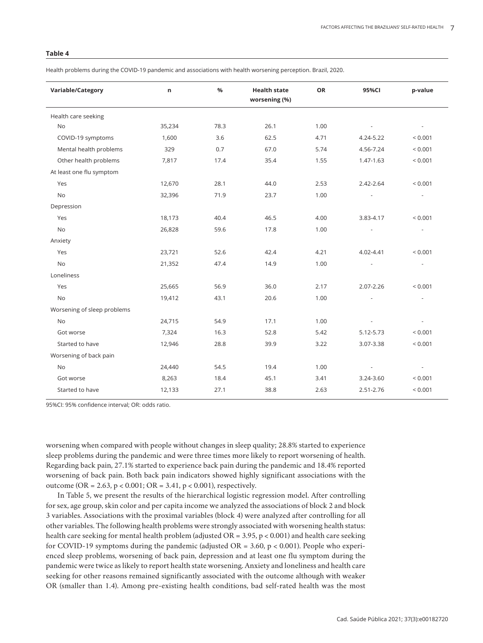## **Table 4**

Health problems during the COVID-19 pandemic and associations with health worsening perception. Brazil, 2020.

| Variable/Category           | n      | %    | <b>Health state</b><br>worsening (%) | OR   | 95%CI     | p-value     |
|-----------------------------|--------|------|--------------------------------------|------|-----------|-------------|
| Health care seeking         |        |      |                                      |      |           |             |
| <b>No</b>                   | 35,234 | 78.3 | 26.1                                 | 1.00 |           |             |
| COVID-19 symptoms           | 1,600  | 3.6  | 62.5                                 | 4.71 | 4.24-5.22 | < 0.001     |
| Mental health problems      | 329    | 0.7  | 67.0                                 | 5.74 | 4.56-7.24 | < 0.001     |
| Other health problems       | 7,817  | 17.4 | 35.4                                 | 1.55 | 1.47-1.63 | < 0.001     |
| At least one flu symptom    |        |      |                                      |      |           |             |
| Yes                         | 12,670 | 28.1 | 44.0                                 | 2.53 | 2.42-2.64 | < 0.001     |
| <b>No</b>                   | 32,396 | 71.9 | 23.7                                 | 1.00 |           |             |
| Depression                  |        |      |                                      |      |           |             |
| Yes                         | 18,173 | 40.4 | 46.5                                 | 4.00 | 3.83-4.17 | < 0.001     |
| No                          | 26,828 | 59.6 | 17.8                                 | 1.00 |           |             |
| Anxiety                     |        |      |                                      |      |           |             |
| Yes                         | 23,721 | 52.6 | 42.4                                 | 4.21 | 4.02-4.41 | < 0.001     |
| <b>No</b>                   | 21,352 | 47.4 | 14.9                                 | 1.00 |           |             |
| Loneliness                  |        |      |                                      |      |           |             |
| Yes                         | 25,665 | 56.9 | 36.0                                 | 2.17 | 2.07-2.26 | ${}< 0.001$ |
| <b>No</b>                   | 19,412 | 43.1 | 20.6                                 | 1.00 |           |             |
| Worsening of sleep problems |        |      |                                      |      |           |             |
| <b>No</b>                   | 24,715 | 54.9 | 17.1                                 | 1.00 |           |             |
| Got worse                   | 7,324  | 16.3 | 52.8                                 | 5.42 | 5.12-5.73 | < 0.001     |
| Started to have             | 12,946 | 28.8 | 39.9                                 | 3.22 | 3.07-3.38 | < 0.001     |
| Worsening of back pain      |        |      |                                      |      |           |             |
| No                          | 24,440 | 54.5 | 19.4                                 | 1.00 |           | ÷,          |
| Got worse                   | 8,263  | 18.4 | 45.1                                 | 3.41 | 3.24-3.60 | < 0.001     |
| Started to have             | 12,133 | 27.1 | 38.8                                 | 2.63 | 2.51-2.76 | < 0.001     |

95%CI: 95% confidence interval; OR: odds ratio.

worsening when compared with people without changes in sleep quality; 28.8% started to experience sleep problems during the pandemic and were three times more likely to report worsening of health. Regarding back pain, 27.1% started to experience back pain during the pandemic and 18.4% reported worsening of back pain. Both back pain indicators showed highly significant associations with the outcome (OR = 2.63, p < 0.001; OR = 3.41, p < 0.001), respectively.

In Table 5, we present the results of the hierarchical logistic regression model. After controlling for sex, age group, skin color and per capita income we analyzed the associations of block 2 and block 3 variables. Associations with the proximal variables (block 4) were analyzed after controlling for all other variables. The following health problems were strongly associated with worsening health status: health care seeking for mental health problem (adjusted  $OR = 3.95$ ,  $p < 0.001$ ) and health care seeking for COVID-19 symptoms during the pandemic (adjusted  $OR = 3.60$ ,  $p < 0.001$ ). People who experienced sleep problems, worsening of back pain, depression and at least one flu symptom during the pandemic were twice as likely to report health state worsening. Anxiety and loneliness and health care seeking for other reasons remained significantly associated with the outcome although with weaker OR (smaller than 1.4). Among pre-existing health conditions, bad self-rated health was the most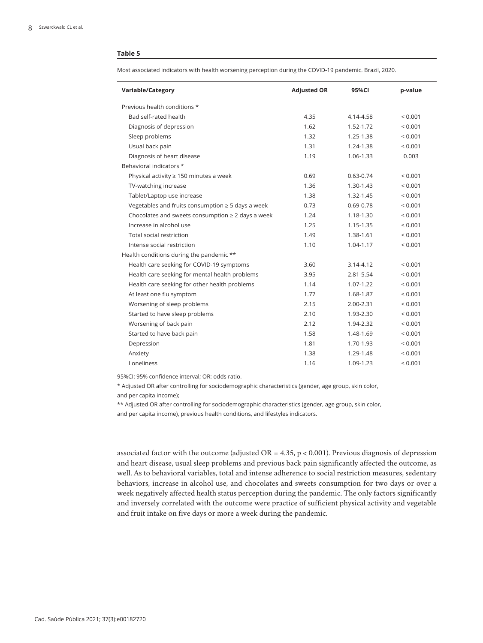#### **Table 5**

Most associated indicators with health worsening perception during the COVID-19 pandemic. Brazil, 2020.

| Variable/Category                                      | <b>Adjusted OR</b> | 95%CI         | p-value      |
|--------------------------------------------------------|--------------------|---------------|--------------|
| Previous health conditions *                           |                    |               |              |
| Bad self-rated health                                  | 4.35               | 4.14-4.58     | ${}_{0.001}$ |
| Diagnosis of depression                                | 1.62               | 1.52-1.72     | ${}_{0.001}$ |
| Sleep problems                                         | 1.32               | 1.25-1.38     | ${}_{0.001}$ |
| Usual back pain                                        | 1.31               | 1.24-1.38     | ${}_{0.001}$ |
| Diagnosis of heart disease                             | 1.19               | 1.06-1.33     | 0.003        |
| Behavioral indicators *                                |                    |               |              |
| Physical activity $\geq 150$ minutes a week            | 0.69               | $0.63 - 0.74$ | ${}_{0.001}$ |
| TV-watching increase                                   | 1.36               | 1.30-1.43     | ${}_{0.001}$ |
| Tablet/Laptop use increase                             | 1.38               | $1.32 - 1.45$ | ${}_{0.001}$ |
| Vegetables and fruits consumption $\geq$ 5 days a week | 0.73               | $0.69 - 0.78$ | ${}_{0.001}$ |
| Chocolates and sweets consumption $\geq 2$ days a week | 1.24               | 1.18-1.30     | < 0.001      |
| Increase in alcohol use                                | 1.25               | 1.15-1.35     | ${}_{0.001}$ |
| Total social restriction                               | 1.49               | 1.38-1.61     | ${}_{0.001}$ |
| Intense social restriction                             | 1.10               | 1.04-1.17     | ${}_{0.001}$ |
| Health conditions during the pandemic **               |                    |               |              |
| Health care seeking for COVID-19 symptoms              | 3.60               | $3.14 - 4.12$ | ${}_{0.001}$ |
| Health care seeking for mental health problems         | 3.95               | 2.81-5.54     | < 0.001      |
| Health care seeking for other health problems          | 1.14               | $1.07 - 1.22$ | ${}_{0.001}$ |
| At least one flu symptom                               | 1.77               | 1.68-1.87     | ${}_{0.001}$ |
| Worsening of sleep problems                            | 2.15               | 2.00-2.31     | ${}_{0.001}$ |
| Started to have sleep problems                         | 2.10               | 1.93-2.30     | ${}_{0.001}$ |
| Worsening of back pain                                 | 2.12               | 1.94-2.32     | ${}_{0.001}$ |
| Started to have back pain                              | 1.58               | 1.48-1.69     | ${}_{0.001}$ |
| Depression                                             | 1.81               | 1.70-1.93     | ${}_{0.001}$ |
| Anxiety                                                | 1.38               | 1.29-1.48     | ${}_{0.001}$ |
| Loneliness                                             | 1.16               | 1.09-1.23     | ${}_{0.001}$ |

95%CI: 95% confidence interval; OR: odds ratio.

\* Adjusted OR after controlling for sociodemographic characteristics (gender, age group, skin color,

and per capita income);

\*\* Adjusted OR after controlling for sociodemographic characteristics (gender, age group, skin color,

and per capita income), previous health conditions, and lifestyles indicators.

associated factor with the outcome (adjusted OR =  $4.35$ , p < 0.001). Previous diagnosis of depression and heart disease, usual sleep problems and previous back pain significantly affected the outcome, as well. As to behavioral variables, total and intense adherence to social restriction measures, sedentary behaviors, increase in alcohol use, and chocolates and sweets consumption for two days or over a week negatively affected health status perception during the pandemic. The only factors significantly and inversely correlated with the outcome were practice of sufficient physical activity and vegetable and fruit intake on five days or more a week during the pandemic.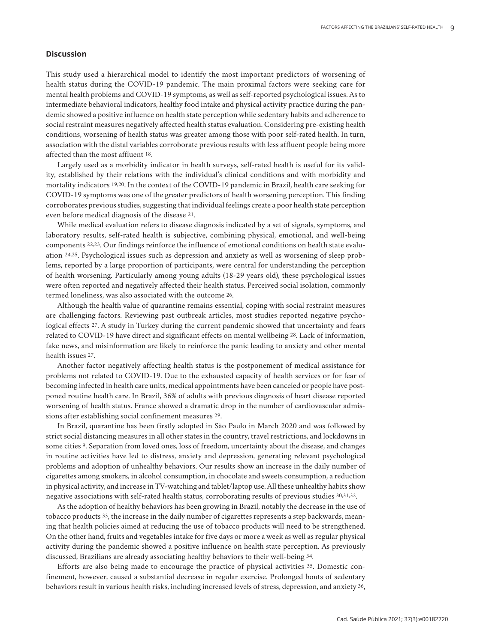## **Discussion**

This study used a hierarchical model to identify the most important predictors of worsening of health status during the COVID-19 pandemic. The main proximal factors were seeking care for mental health problems and COVID-19 symptoms, as well as self-reported psychological issues. As to intermediate behavioral indicators, healthy food intake and physical activity practice during the pandemic showed a positive influence on health state perception while sedentary habits and adherence to social restraint measures negatively affected health status evaluation. Considering pre-existing health conditions, worsening of health status was greater among those with poor self-rated health. In turn, association with the distal variables corroborate previous results with less affluent people being more affected than the most affluent 18.

Largely used as a morbidity indicator in health surveys, self-rated health is useful for its validity, established by their relations with the individual's clinical conditions and with morbidity and mortality indicators 19,20. In the context of the COVID-19 pandemic in Brazil, health care seeking for COVID-19 symptoms was one of the greater predictors of health worsening perception. This finding corroborates previous studies, suggesting that individual feelings create a poor health state perception even before medical diagnosis of the disease 21.

While medical evaluation refers to disease diagnosis indicated by a set of signals, symptoms, and laboratory results, self-rated health is subjective, combining physical, emotional, and well-being components 22,23. Our findings reinforce the influence of emotional conditions on health state evaluation 24,25. Psychological issues such as depression and anxiety as well as worsening of sleep problems, reported by a large proportion of participants, were central for understanding the perception of health worsening. Particularly among young adults (18-29 years old), these psychological issues were often reported and negatively affected their health status. Perceived social isolation, commonly termed loneliness, was also associated with the outcome 26.

Although the health value of quarantine remains essential, coping with social restraint measures are challenging factors. Reviewing past outbreak articles, most studies reported negative psychological effects 27. A study in Turkey during the current pandemic showed that uncertainty and fears related to COVID-19 have direct and significant effects on mental wellbeing 28. Lack of information, fake news, and misinformation are likely to reinforce the panic leading to anxiety and other mental health issues 27.

Another factor negatively affecting health status is the postponement of medical assistance for problems not related to COVID-19. Due to the exhausted capacity of health services or for fear of becoming infected in health care units, medical appointments have been canceled or people have postponed routine health care. In Brazil, 36% of adults with previous diagnosis of heart disease reported worsening of health status. France showed a dramatic drop in the number of cardiovascular admissions after establishing social confinement measures 29.

In Brazil, quarantine has been firstly adopted in São Paulo in March 2020 and was followed by strict social distancing measures in all other states in the country, travel restrictions, and lockdowns in some cities 9. Separation from loved ones, loss of freedom, uncertainty about the disease, and changes in routine activities have led to distress, anxiety and depression, generating relevant psychological problems and adoption of unhealthy behaviors. Our results show an increase in the daily number of cigarettes among smokers, in alcohol consumption, in chocolate and sweets consumption, a reduction in physical activity, and increase in TV-watching and tablet/laptop use. All these unhealthy habits show negative associations with self-rated health status, corroborating results of previous studies 30,31,32.

As the adoption of healthy behaviors has been growing in Brazil, notably the decrease in the use of tobacco products 33, the increase in the daily number of cigarettes represents a step backwards, meaning that health policies aimed at reducing the use of tobacco products will need to be strengthened. On the other hand, fruits and vegetables intake for five days or more a week as well as regular physical activity during the pandemic showed a positive influence on health state perception. As previously discussed, Brazilians are already associating healthy behaviors to their well-being 34.

Efforts are also being made to encourage the practice of physical activities 35. Domestic confinement, however, caused a substantial decrease in regular exercise. Prolonged bouts of sedentary behaviors result in various health risks, including increased levels of stress, depression, and anxiety 36,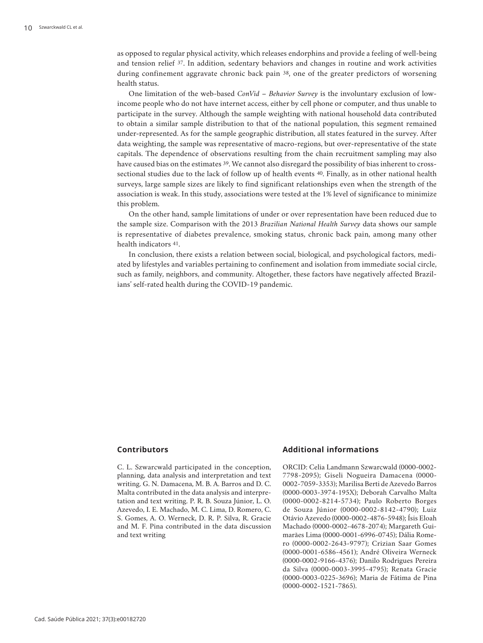as opposed to regular physical activity, which releases endorphins and provide a feeling of well-being and tension relief 37. In addition, sedentary behaviors and changes in routine and work activities during confinement aggravate chronic back pain 38, one of the greater predictors of worsening health status.

One limitation of the web-based *ConVid – Behavior Survey* is the involuntary exclusion of lowincome people who do not have internet access, either by cell phone or computer, and thus unable to participate in the survey. Although the sample weighting with national household data contributed to obtain a similar sample distribution to that of the national population, this segment remained under-represented. As for the sample geographic distribution, all states featured in the survey. After data weighting, the sample was representative of macro-regions, but over-representative of the state capitals. The dependence of observations resulting from the chain recruitment sampling may also have caused bias on the estimates 39. We cannot also disregard the possibility of bias inherent to crosssectional studies due to the lack of follow up of health events 40. Finally, as in other national health surveys, large sample sizes are likely to find significant relationships even when the strength of the association is weak. In this study, associations were tested at the 1% level of significance to minimize this problem.

On the other hand, sample limitations of under or over representation have been reduced due to the sample size. Comparison with the 2013 *Brazilian National Health Survey* data shows our sample is representative of diabetes prevalence, smoking status, chronic back pain, among many other health indicators 41.

In conclusion, there exists a relation between social, biological, and psychological factors, mediated by lifestyles and variables pertaining to confinement and isolation from immediate social circle, such as family, neighbors, and community. Altogether, these factors have negatively affected Brazilians' self-rated health during the COVID-19 pandemic.

#### **Contributors**

C. L. Szwarcwald participated in the conception, planning, data analysis and interpretation and text writing. G. N. Damacena, M. B. A. Barros and D. C. Malta contributed in the data analysis and interpretation and text writing. P. R. B. Souza Júnior, L. O. Azevedo, I. E. Machado, M. C. Lima, D. Romero, C. S. Gomes, A. O. Werneck, D. R. P. Silva, R. Gracie and M. F. Pina contributed in the data discussion and text writing

# **Additional informations**

ORCID: Celia Landmann Szwarcwald (0000-0002- 7798-2095); Giseli Nogueira Damacena (0000- 0002-7059-3353); Marilisa Berti de Azevedo Barros (0000-0003-3974-195X); Deborah Carvalho Malta (0000-0002-8214-5734); Paulo Roberto Borges de Souza Júnior (0000-0002-8142-4790); Luiz Otávio Azevedo (0000-0002-4876-5948); Ísis Eloah Machado (0000-0002-4678-2074); Margareth Guimarães Lima (0000-0001-6996-0745); Dália Romero (0000-0002-2643-9797); Crizian Saar Gomes (0000-0001-6586-4561); André Oliveira Werneck (0000-0002-9166-4376); Danilo Rodrigues Pereira da Silva (0000-0003-3995-4795); Renata Gracie (0000-0003-0225-3696); Maria de Fátima de Pina (0000-0002-1521-7865).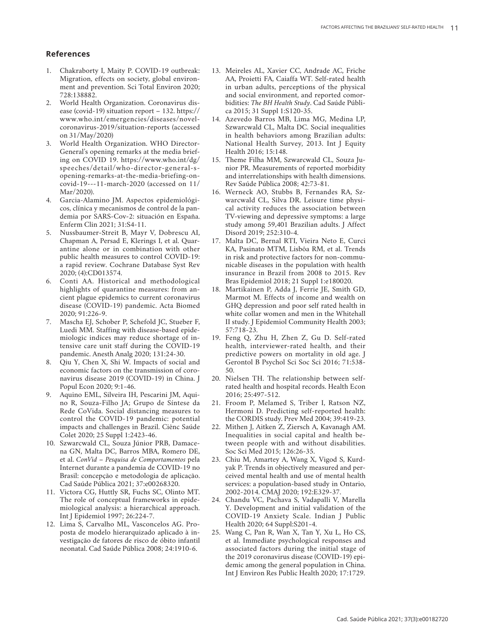### **References**

- 1. Chakraborty I, Maity P. COVID-19 outbreak: Migration, effects on society, global environ ment and prevention. Sci Total Environ 2020; 728:138882.
- 2. World Health Organization. Coronavirus dis ease (covid-19) situation report – 132. https:// www.who.int/emergencies/diseases/novelcoronavirus-2019/situation-reports (accessed on 31/May/2020)
- 3. World Health Organization. WHO Director-General's opening remarks at the media briefing on COVID 19. https://www.who.int/dg/ speeches/detail/who-director-general-sopening-remarks-at-the-media-briefing-oncovid-19---11-march-2020 (accessed on 11/ Mar/2020).
- 4. Garcia-Alamino JM. Aspectos epidemiológi cos, clínica y mecanismos de control de la pan demia por SARS-Cov-2: situación en España. Enferm Clin 2021; 31:S4-11.
- 5. Nussbaumer-Streit B, Mayr V, Dobrescu AI, Chapman A, Persad E, Klerings I, et al. Quar antine alone or in combination with other public health measures to control COVID-19: a rapid review. Cochrane Database Syst Rev 2020; (4):CD013574.
- 6. Conti AA. Historical and methodological highlights of quarantine measures: from an cient plague epidemics to current coronavirus disease (COVID-19) pandemic. Acta Biomed 2020; 91:226-9.
- 7. Mascha EJ, Schober P, Schefold JC, Stueber F, Luedi MM. Staffing with disease-based epide miologic indices may reduce shortage of in tensive care unit staff during the COVID-19 pandemic. Anesth Analg 2020; 131:24-30.
- 8. Qiu Y, Chen X, Shi W. Impacts of social and economic factors on the transmission of coro navirus disease 2019 (COVID-19) in China. J Popul Econ 2020; 9:1-46.
- 9. Aquino EML, Silveira IH, Pescarini JM, Aqui no R, Souza-Filho JA; Grupo de Síntese da Rede CoVida. Social distancing measures to control the COVID-19 pandemic: potential impacts and challenges in Brazil. Ciênc Saúde Colet 2020; 25 Suppl 1:2423-46.
- 10. Szwarcwald CL, Souza Júnior PRB, Damace na GN, Malta DC, Barros MBA, Romero DE, et al. *ConVid – Pesquisa de Comportamentos* pela Internet durante a pandemia de COVID-19 no Brasil: concepção e metodologia de aplicação. Cad Saúde Pública 2021; 37:e00268320.
- 11. Victora CG, Huttly SR, Fuchs SC, Olinto MT. The role of conceptual frameworks in epide miological analysis: a hierarchical approach. Int J Epidemiol 1997; 26:224-7.
- 12. Lima S, Carvalho ML, Vasconcelos AG. Pro posta de modelo hierarquizado aplicado à in vestigação de fatores de risco de óbito infantil neonatal. Cad Saúde Pública 2008; 24:1910-6.
- 13. Meireles AL, Xavier CC, Andrade AC, Friche AA, Proietti FA, Caiaffa WT. Self-rated health in urban adults, perceptions of the physical and social environment, and reported comor bidities: *The BH Health Study*. Cad Saúde Públi ca 2015; 31 Suppl 1:S120-35.
- 14. Azevedo Barros MB, Lima MG, Medina LP, Szwarcwald CL, Malta DC. Social inequalities in health behaviors among Brazilian adults: National Health Survey, 2013. Int J Equity Health 2016; 15:148.
- 15. Theme Filha MM, Szwarcwald CL, Souza Ju nior PR. Measurements of reported morbidity and interrelationships with health dimensions. Rev Saúde Pública 2008; 42:73-81.
- 16. Werneck AO, Stubbs B, Fernandes RA, Sz warcwald CL, Silva DR. Leisure time physi cal activity reduces the association between TV-viewing and depressive symptoms: a large study among 59,401 Brazilian adults. J Affect Disord 2019; 252:310-4.
- 17. Malta DC, Bernal RTI, Vieira Neto E, Curci KA, Pasinato MTM, Lisbôa RM, et al. Trends in risk and protective factors for non-commu nicable diseases in the population with health insurance in Brazil from 2008 to 2015. Rev Bras Epidemiol 2018; 21 Suppl 1:e180020.
- 18. Martikainen P, Adda J, Ferrie JE, Smith GD, Marmot M. Effects of income and wealth on GHQ depression and poor self rated health in white collar women and men in the Whitehall II study. J Epidemiol Community Health 2003; 57:718-23.
- 19. Feng Q, Zhu H, Zhen Z, Gu D. Self-rated health, interviewer-rated health, and their predictive powers on mortality in old age. J Gerontol B Psychol Sci Soc Sci 2016; 71:538- 50.
- 20. Nielsen TH. The relationship between selfrated health and hospital records. Health Econ 2016; 25:497-512.
- 21. Froom P, Melamed S, Triber I, Ratson NZ, Hermoni D. Predicting self-reported health: the CORDIS study. Prev Med 2004; 39:419-23.
- 22. Mithen J, Aitken Z, Ziersch A, Kavanagh AM. Inequalities in social capital and health be tween people with and without disabilities. Soc Sci Med 2015; 126:26-35.
- 23. Chiu M, Amartey A, Wang X, Vigod S, Kurd yak P. Trends in objectively measured and per ceived mental health and use of mental health services: a population-based study in Ontario, 2002-2014. CMAJ 2020; 192:E329-37.
- 24. Chandu VC, Pachava S, Vadapalli V, Marella Y. Development and initial validation of the COVID-19 Anxiety Scale. Indian J Public Health 2020; 64 Suppl:S201-4.
- 25. Wang C, Pan R, Wan X, Tan Y, Xu L, Ho CS, et al. Immediate psychological responses and associated factors during the initial stage of the 2019 coronavirus disease (COVID-19) epi demic among the general population in China. Int J Environ Res Public Health 2020; 17:1729.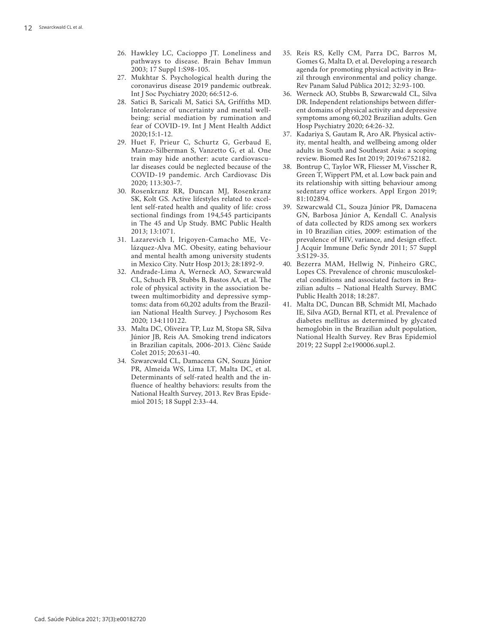- 26. Hawkley LC, Cacioppo JT. Loneliness and pathways to disease. Brain Behav Immun 2003; 17 Suppl 1:S98-105.
- 27. Mukhtar S. Psychological health during the coronavirus disease 2019 pandemic outbreak. Int J Soc Psychiatry 2020; 66:512-6.
- 28. Satici B, Saricali M, Satici SA, Griffiths MD. Intolerance of uncertainty and mental well being: serial mediation by rumination and fear of COVID-19. Int J Ment Health Addict 2020;15:1-12.
- 29. Huet F, Prieur C, Schurtz G, Gerbaud E, Manzo-Silberman S, Vanzetto G, et al. One train may hide another: acute cardiovascu lar diseases could be neglected because of the COVID-19 pandemic. Arch Cardiovasc Dis 2020; 113:303-7.
- 30. Rosenkranz RR, Duncan MJ, Rosenkranz SK, Kolt GS. Active lifestyles related to excel lent self-rated health and quality of life: cross sectional findings from 194,545 participants in The 45 and Up Study. BMC Public Health 2013; 13:1071.
- 31. Lazarevich I, Irigoyen-Camacho ME, Ve lázquez-Alva MC. Obesity, eating behaviour and mental health among university students in Mexico City. Nutr Hosp 2013; 28:1892-9.
- 32. Andrade-Lima A, Werneck AO, Szwarcwald CL, Schuch FB, Stubbs B, Bastos AA, et al. The role of physical activity in the association be tween multimorbidity and depressive symp toms: data from 60,202 adults from the Brazil ian National Health Survey. J Psychosom Res 2020; 134:110122.
- 33. Malta DC, Oliveira TP, Luz M, Stopa SR, Silva Júnior JB, Reis AA. Smoking trend indicators in Brazilian capitals, 2006-2013. Ciênc Saúde Colet 2015; 20:631-40.
- 34. Szwarcwald CL, Damacena GN, Souza Júnior PR, Almeida WS, Lima LT, Malta DC, et al. Determinants of self-rated health and the in fluence of healthy behaviors: results from the National Health Survey, 2013. Rev Bras Epide miol 2015; 18 Suppl 2:33-44.
- 35. Reis RS, Kelly CM, Parra DC, Barros M, Gomes G, Malta D, et al. Developing a research agenda for promoting physical activity in Bra zil through environmental and policy change. Rev Panam Salud Pública 2012; 32:93-100.
- 36. Werneck AO, Stubbs B, Szwarcwald CL, Silva DR. Independent relationships between differ ent domains of physical activity and depressive symptoms among 60,202 Brazilian adults. Gen Hosp Psychiatry 2020; 64:26-32.
- 37. Kadariya S, Gautam R, Aro AR. Physical activ ity, mental health, and wellbeing among older adults in South and Southeast Asia: a scoping review. Biomed Res Int 2019; 2019:6752182.
- 38. Bontrup C, Taylor WR, Fliesser M, Visscher R, Green T, Wippert PM, et al. Low back pain and its relationship with sitting behaviour among sedentary office workers. Appl Ergon 2019; 81:102894.
- 39. Szwarcwald CL, Souza Júnior PR, Damacena GN, Barbosa Júnior A, Kendall C. Analysis of data collected by RDS among sex workers in 10 Brazilian cities, 2009: estimation of the prevalence of HIV, variance, and design effect. J Acquir Immune Defic Syndr 2011; 57 Suppl 3:S129-35.
- 40. Bezerra MAM, Hellwig N, Pinheiro GRC, Lopes CS. Prevalence of chronic musculoskel etal conditions and associated factors in Bra zilian adults – National Health Survey. BMC Public Health 2018; 18:287.
- 41. Malta DC, Duncan BB, Schmidt MI, Machado IE, Silva AGD, Bernal RTI, et al. Prevalence of diabetes mellitus as determined by glycated hemoglobin in the Brazilian adult population, National Health Survey. Rev Bras Epidemiol 2019; 22 Suppl 2:e190006.supl.2.